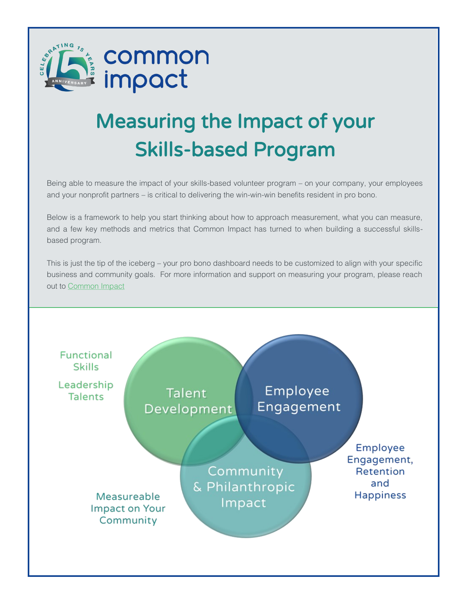

# Measuring the Impact of your Skills-based Program

Being able to measure the impact of your skills-based volunteer program – on your company, your employees and your nonprofit partners – is critical to delivering the win-win-win benefits resident in pro bono.

Below is a framework to help you start thinking about how to approach measurement, what you can measure, and a few key methods and metrics that Common Impact has turned to when building a successful skillsbased program.

This is just the tip of the iceberg – your pro bono dashboard needs to be customized to align with your specific business and community goals. For more information and support on measuring your program, please reach out to [Common Impact](mailto:info@commonimpact.org)

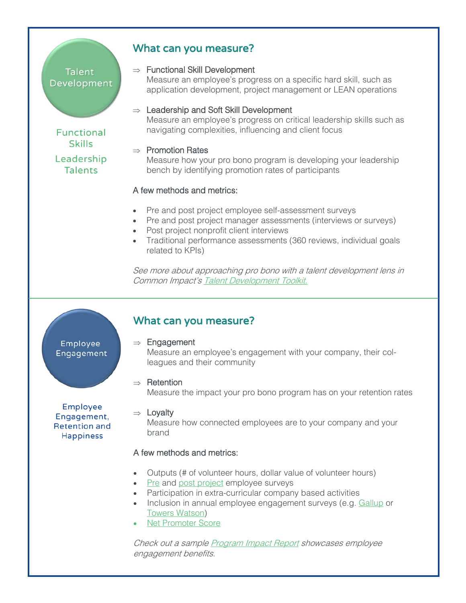## **Talent** Development

## What can you measure?

 $\Rightarrow$  Functional Skill Development

Measure an employee's progress on a specific hard skill, such as application development, project management or LEAN operations

 $\Rightarrow$  Leadership and Soft Skill Development Measure an employee's progress on critical leadership skills such as navigating complexities, influencing and client focus

## $\Rightarrow$  Promotion Rates

Measure how your pro bono program is developing your leadership bench by identifying promotion rates of participants

## A few methods and metrics:

- Pre and post project employee self-assessment surveys
- Pre and post project manager assessments (interviews or surveys)
- Post project nonprofit client interviews
- Traditional performance assessments (360 reviews, individual goals related to KPIs)

See more about approaching pro bono with a talent development lens in Common Impact's [Talent Development Toolkit.](http://commonimpact.org/pdf/Talent_Development_Toolkit.pdf)

Employee Engagement

Employee Engagement, **Retention and Happiness** 

# What can you measure?

 $\Rightarrow$  Engagement Measure an employee's engagement with your company, their colleagues and their community

## $\Rightarrow$  Retention

Measure the impact your pro bono program has on your retention rates

## $\Rightarrow$  Lovalty

Measure how connected employees are to your company and your brand

## A few methods and metrics:

- Outputs (# of volunteer hours, dollar value of volunteer hours)
- [Pre](https://www.surveygizmo.com/s3/2942900/Nonprofit-Application) and [post project](https://www.surveygizmo.com/s3/2237134/Volunteer-Feedback-Survey) employee surveys
- Participation in extra-curricular company based activities
- Inclusion in annual employee engagement surveys (e.g. [Gallup](http://www.gallup.com/topic/employee_engagement.aspx) or [Towers Watson\)](http://www.towerswatson.com/en/Services/our-solutions/employee-surveys)
- [Net Promoter Score](http://www.netpromoter.com/home)

Check out a sample **[Program Impact Report](http://commonimpact.org/pdf/Generic_Corp_Report.pdf)** showcases employee engagement benefits.

**Functional Skills** Leadership **Talents**